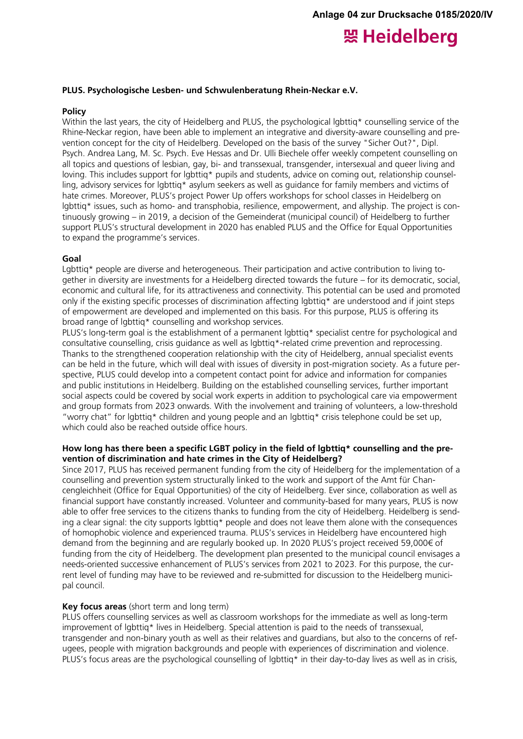# 照 Heidelberg

#### **PLUS. Psychologische Lesben- und Schwulenberatung Rhein-Neckar e.V.**

#### **Policy**

Within the last years, the city of Heidelberg and PLUS, the psychological lgbttig\* counselling service of the Rhine-Neckar region, have been able to implement an integrative and diversity-aware counselling and prevention concept for the city of Heidelberg. Developed on the basis of the survey "Sicher Out?", Dipl. Psych. Andrea Lang, M. Sc. Psych. Eve Hessas and Dr. Ulli Biechele offer weekly competent counselling on all topics and questions of lesbian, gay, bi- and transsexual, transgender, intersexual and queer living and loving. This includes support for labttig\* pupils and students, advice on coming out, relationship counselling, advisory services for lgbttiq\* asylum seekers as well as guidance for family members and victims of hate crimes. Moreover, PLUS's project Power Up offers workshops for school classes in Heidelberg on lgbttiq\* issues, such as homo- and transphobia, resilience, empowerment, and allyship. The project is continuously growing – in 2019, a decision of the Gemeinderat (municipal council) of Heidelberg to further support PLUS's structural development in 2020 has enabled PLUS and the Office for Equal Opportunities to expand the programme's services.

#### **Goal**

Lgbttiq\* people are diverse and heterogeneous. Their participation and active contribution to living together in diversity are investments for a Heidelberg directed towards the future – for its democratic, social, economic and cultural life, for its attractiveness and connectivity. This potential can be used and promoted only if the existing specific processes of discrimination affecting lgbttiq\* are understood and if joint steps of empowerment are developed and implemented on this basis. For this purpose, PLUS is offering its broad range of lgbttiq\* counselling and workshop services.

PLUS's long-term goal is the establishment of a permanent lgbttig\* specialist centre for psychological and consultative counselling, crisis guidance as well as lgbttiq\*-related crime prevention and reprocessing. Thanks to the strengthened cooperation relationship with the city of Heidelberg, annual specialist events can be held in the future, which will deal with issues of diversity in post-migration society. As a future perspective, PLUS could develop into a competent contact point for advice and information for companies and public institutions in Heidelberg. Building on the established counselling services, further important social aspects could be covered by social work experts in addition to psychological care via empowerment and group formats from 2023 onwards. With the involvement and training of volunteers, a low-threshold "worry chat" for lgbttiq\* children and young people and an lgbttiq\* crisis telephone could be set up, which could also be reached outside office hours.

## **How long has there been a specific LGBT policy in the field of lgbttiq\* counselling and the prevention of discrimination and hate crimes in the City of Heidelberg?**

Since 2017, PLUS has received permanent funding from the city of Heidelberg for the implementation of a counselling and prevention system structurally linked to the work and support of the Amt für Chancengleichheit (Office for Equal Opportunities) of the city of Heidelberg. Ever since, collaboration as well as financial support have constantly increased. Volunteer and community-based for many years, PLUS is now able to offer free services to the citizens thanks to funding from the city of Heidelberg. Heidelberg is sending a clear signal: the city supports lgbttiq\* people and does not leave them alone with the consequences of homophobic violence and experienced trauma. PLUS's services in Heidelberg have encountered high demand from the beginning and are regularly booked up. In 2020 PLUS's project received 59,000€ of funding from the city of Heidelberg. The development plan presented to the municipal council envisages a needs-oriented successive enhancement of PLUS's services from 2021 to 2023. For this purpose, the current level of funding may have to be reviewed and re-submitted for discussion to the Heidelberg municipal council.

#### **Key focus areas** (short term and long term)

PLUS offers counselling services as well as classroom workshops for the immediate as well as long-term improvement of lgbttiq\* lives in Heidelberg. Special attention is paid to the needs of transsexual, transgender and non-binary youth as well as their relatives and guardians, but also to the concerns of refugees, people with migration backgrounds and people with experiences of discrimination and violence. PLUS's focus areas are the psychological counselling of lgbttig\* in their day-to-day lives as well as in crisis,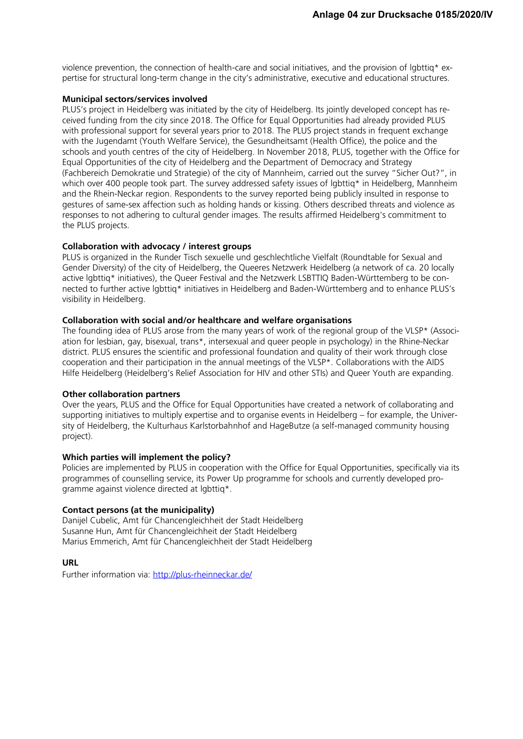violence prevention, the connection of health-care and social initiatives, and the provision of lgbttiq\* expertise for structural long-term change in the city's administrative, executive and educational structures.

# **Municipal sectors/services involved**

PLUS's project in Heidelberg was initiated by the city of Heidelberg. Its jointly developed concept has received funding from the city since 2018. The Office for Equal Opportunities had already provided PLUS with professional support for several years prior to 2018. The PLUS project stands in frequent exchange with the Jugendamt (Youth Welfare Service), the Gesundheitsamt (Health Office), the police and the schools and youth centres of the city of Heidelberg. In November 2018, PLUS, together with the Office for Equal Opportunities of the city of Heidelberg and the Department of Democracy and Strategy (Fachbereich Demokratie und Strategie) of the city of Mannheim, carried out the survey "Sicher Out?", in which over 400 people took part. The survey addressed safety issues of lgbttiq\* in Heidelberg, Mannheim and the Rhein-Neckar region. Respondents to the survey reported being publicly insulted in response to gestures of same-sex affection such as holding hands or kissing. Others described threats and violence as responses to not adhering to cultural gender images. The results affirmed Heidelberg's commitment to the PLUS projects.

## **Collaboration with advocacy / interest groups**

PLUS is organized in the Runder Tisch sexuelle und geschlechtliche Vielfalt (Roundtable for Sexual and Gender Diversity) of the city of Heidelberg, the Queeres Netzwerk Heidelberg (a network of ca. 20 locally active lgbttiq\* initiatives), the Queer Festival and the Netzwerk LSBTTIQ Baden-Württemberg to be connected to further active lgbttiq\* initiatives in Heidelberg and Baden-Württemberg and to enhance PLUS's visibility in Heidelberg.

## **Collaboration with social and/or healthcare and welfare organisations**

The founding idea of PLUS arose from the many years of work of the regional group of the VLSP\* (Association for lesbian, gay, bisexual, trans\*, intersexual and queer people in psychology) in the Rhine-Neckar district. PLUS ensures the scientific and professional foundation and quality of their work through close cooperation and their participation in the annual meetings of the VLSP\*. Collaborations with the AIDS Hilfe Heidelberg (Heidelberg's Relief Association for HIV and other STIs) and Queer Youth are expanding.

#### **Other collaboration partners**

Over the years, PLUS and the Office for Equal Opportunities have created a network of collaborating and supporting initiatives to multiply expertise and to organise events in Heidelberg – for example, the University of Heidelberg, the Kulturhaus Karlstorbahnhof and HageButze (a self-managed community housing project).

# **Which parties will implement the policy?**

Policies are implemented by PLUS in cooperation with the Office for Equal Opportunities, specifically via its programmes of counselling service, its Power Up programme for schools and currently developed programme against violence directed at lgbttiq\*.

#### **Contact persons (at the municipality)**

Danijel Cubelic, Amt für Chancengleichheit der Stadt Heidelberg Susanne Hun, Amt für Chancengleichheit der Stadt Heidelberg Marius Emmerich, Amt für Chancengleichheit der Stadt Heidelberg

# **URL**

Further information via:<http://plus-rheinneckar.de/>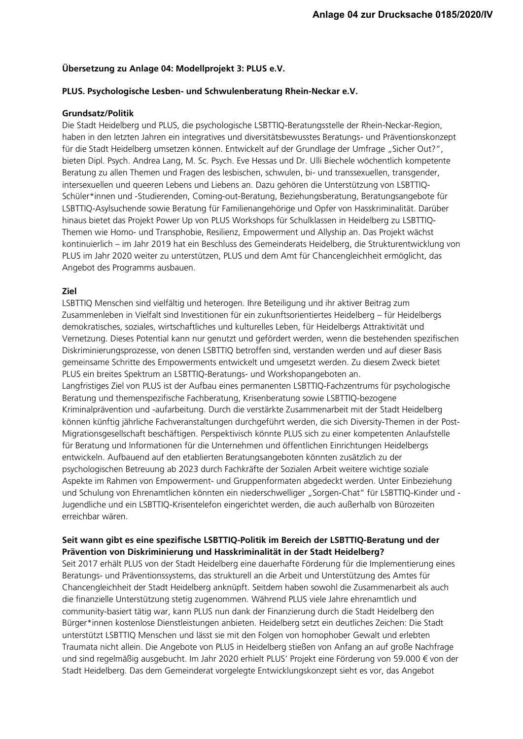# **Übersetzung zu Anlage 04: Modellprojekt 3: PLUS e.V.**

## **PLUS. Psychologische Lesben- und Schwulenberatung Rhein-Neckar e.V.**

#### **Grundsatz/Politik**

Die Stadt Heidelberg und PLUS, die psychologische LSBTTIQ-Beratungsstelle der Rhein-Neckar-Region, haben in den letzten Jahren ein integratives und diversitätsbewusstes Beratungs- und Präventionskonzept für die Stadt Heidelberg umsetzen können. Entwickelt auf der Grundlage der Umfrage "Sicher Out?", bieten Dipl. Psych. Andrea Lang, M. Sc. Psych. Eve Hessas und Dr. Ulli Biechele wöchentlich kompetente Beratung zu allen Themen und Fragen des lesbischen, schwulen, bi- und transsexuellen, transgender, intersexuellen und queeren Lebens und Liebens an. Dazu gehören die Unterstützung von LSBTTIQ-Schüler\*innen und -Studierenden, Coming-out-Beratung, Beziehungsberatung, Beratungsangebote für LSBTTIQ-Asylsuchende sowie Beratung für Familienangehörige und Opfer von Hasskriminalität. Darüber hinaus bietet das Projekt Power Up von PLUS Workshops für Schulklassen in Heidelberg zu LSBTTIQ-Themen wie Homo- und Transphobie, Resilienz, Empowerment und Allyship an. Das Projekt wächst kontinuierlich – im Jahr 2019 hat ein Beschluss des Gemeinderats Heidelberg, die Strukturentwicklung von PLUS im Jahr 2020 weiter zu unterstützen, PLUS und dem Amt für Chancengleichheit ermöglicht, das Angebot des Programms ausbauen.

# **Ziel**

LSBTTIQ Menschen sind vielfältig und heterogen. Ihre Beteiligung und ihr aktiver Beitrag zum Zusammenleben in Vielfalt sind Investitionen für ein zukunftsorientiertes Heidelberg – für Heidelbergs demokratisches, soziales, wirtschaftliches und kulturelles Leben, für Heidelbergs Attraktivität und Vernetzung. Dieses Potential kann nur genutzt und gefördert werden, wenn die bestehenden spezifischen Diskriminierungsprozesse, von denen LSBTTIQ betroffen sind, verstanden werden und auf dieser Basis gemeinsame Schritte des Empowerments entwickelt und umgesetzt werden. Zu diesem Zweck bietet PLUS ein breites Spektrum an LSBTTIQ-Beratungs- und Workshopangeboten an. Langfristiges Ziel von PLUS ist der Aufbau eines permanenten LSBTTIQ-Fachzentrums für psychologische Beratung und themenspezifische Fachberatung, Krisenberatung sowie LSBTTIQ-bezogene Kriminalprävention und -aufarbeitung. Durch die verstärkte Zusammenarbeit mit der Stadt Heidelberg können künftig jährliche Fachveranstaltungen durchgeführt werden, die sich Diversity-Themen in der Post-Migrationsgesellschaft beschäftigen. Perspektivisch könnte PLUS sich zu einer kompetenten Anlaufstelle für Beratung und Informationen für die Unternehmen und öffentlichen Einrichtungen Heidelbergs entwickeln. Aufbauend auf den etablierten Beratungsangeboten könnten zusätzlich zu der psychologischen Betreuung ab 2023 durch Fachkräfte der Sozialen Arbeit weitere wichtige soziale Aspekte im Rahmen von Empowerment- und Gruppenformaten abgedeckt werden. Unter Einbeziehung und Schulung von Ehrenamtlichen könnten ein niederschwelliger "Sorgen-Chat" für LSBTTIQ-Kinder und -Jugendliche und ein LSBTTIQ-Krisentelefon eingerichtet werden, die auch außerhalb von Bürozeiten erreichbar wären.

# **Seit wann gibt es eine spezifische LSBTTIQ-Politik im Bereich der LSBTTIQ-Beratung und der Prävention von Diskriminierung und Hasskriminalität in der Stadt Heidelberg?**

Seit 2017 erhält PLUS von der Stadt Heidelberg eine dauerhafte Förderung für die Implementierung eines Beratungs- und Präventionssystems, das strukturell an die Arbeit und Unterstützung des Amtes für Chancengleichheit der Stadt Heidelberg anknüpft. Seitdem haben sowohl die Zusammenarbeit als auch die finanzielle Unterstützung stetig zugenommen. Während PLUS viele Jahre ehrenamtlich und community-basiert tätig war, kann PLUS nun dank der Finanzierung durch die Stadt Heidelberg den Bürger\*innen kostenlose Dienstleistungen anbieten. Heidelberg setzt ein deutliches Zeichen: Die Stadt unterstützt LSBTTIQ Menschen und lässt sie mit den Folgen von homophober Gewalt und erlebten Traumata nicht allein. Die Angebote von PLUS in Heidelberg stießen von Anfang an auf große Nachfrage und sind regelmäßig ausgebucht. Im Jahr 2020 erhielt PLUS' Projekt eine Förderung von 59.000 € von der Stadt Heidelberg. Das dem Gemeinderat vorgelegte Entwicklungskonzept sieht es vor, das Angebot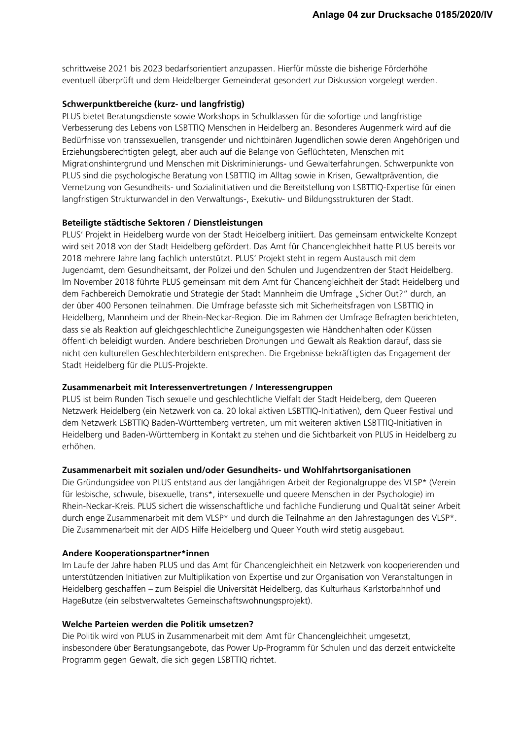schrittweise 2021 bis 2023 bedarfsorientiert anzupassen. Hierfür müsste die bisherige Förderhöhe eventuell überprüft und dem Heidelberger Gemeinderat gesondert zur Diskussion vorgelegt werden.

# **Schwerpunktbereiche (kurz- und langfristig)**

PLUS bietet Beratungsdienste sowie Workshops in Schulklassen für die sofortige und langfristige Verbesserung des Lebens von LSBTTIQ Menschen in Heidelberg an. Besonderes Augenmerk wird auf die Bedürfnisse von transsexuellen, transgender und nichtbinären Jugendlichen sowie deren Angehörigen und Erziehungsberechtigten gelegt, aber auch auf die Belange von Geflüchteten, Menschen mit Migrationshintergrund und Menschen mit Diskriminierungs- und Gewalterfahrungen. Schwerpunkte von PLUS sind die psychologische Beratung von LSBTTIQ im Alltag sowie in Krisen, Gewaltprävention, die Vernetzung von Gesundheits- und Sozialinitiativen und die Bereitstellung von LSBTTIQ-Expertise für einen langfristigen Strukturwandel in den Verwaltungs-, Exekutiv- und Bildungsstrukturen der Stadt.

## **Beteiligte städtische Sektoren / Dienstleistungen**

PLUS' Projekt in Heidelberg wurde von der Stadt Heidelberg initiiert. Das gemeinsam entwickelte Konzept wird seit 2018 von der Stadt Heidelberg gefördert. Das Amt für Chancengleichheit hatte PLUS bereits vor 2018 mehrere Jahre lang fachlich unterstützt. PLUS' Projekt steht in regem Austausch mit dem Jugendamt, dem Gesundheitsamt, der Polizei und den Schulen und Jugendzentren der Stadt Heidelberg. Im November 2018 führte PLUS gemeinsam mit dem Amt für Chancengleichheit der Stadt Heidelberg und dem Fachbereich Demokratie und Strategie der Stadt Mannheim die Umfrage "Sicher Out?" durch, an der über 400 Personen teilnahmen. Die Umfrage befasste sich mit Sicherheitsfragen von LSBTTIQ in Heidelberg, Mannheim und der Rhein-Neckar-Region. Die im Rahmen der Umfrage Befragten berichteten, dass sie als Reaktion auf gleichgeschlechtliche Zuneigungsgesten wie Händchenhalten oder Küssen öffentlich beleidigt wurden. Andere beschrieben Drohungen und Gewalt als Reaktion darauf, dass sie nicht den kulturellen Geschlechterbildern entsprechen. Die Ergebnisse bekräftigten das Engagement der Stadt Heidelberg für die PLUS-Projekte.

## **Zusammenarbeit mit Interessenvertretungen / Interessengruppen**

PLUS ist beim Runden Tisch sexuelle und geschlechtliche Vielfalt der Stadt Heidelberg, dem Queeren Netzwerk Heidelberg (ein Netzwerk von ca. 20 lokal aktiven LSBTTIQ-Initiativen), dem Queer Festival und dem Netzwerk LSBTTIQ Baden-Württemberg vertreten, um mit weiteren aktiven LSBTTIQ-Initiativen in Heidelberg und Baden-Württemberg in Kontakt zu stehen und die Sichtbarkeit von PLUS in Heidelberg zu erhöhen.

## **Zusammenarbeit mit sozialen und/oder Gesundheits- und Wohlfahrtsorganisationen**

Die Gründungsidee von PLUS entstand aus der langjährigen Arbeit der Regionalgruppe des VLSP\* (Verein für lesbische, schwule, bisexuelle, trans\*, intersexuelle und queere Menschen in der Psychologie) im Rhein-Neckar-Kreis. PLUS sichert die wissenschaftliche und fachliche Fundierung und Qualität seiner Arbeit durch enge Zusammenarbeit mit dem VLSP\* und durch die Teilnahme an den Jahrestagungen des VLSP\*. Die Zusammenarbeit mit der AIDS Hilfe Heidelberg und Queer Youth wird stetig ausgebaut.

#### **Andere Kooperationspartner\*innen**

Im Laufe der Jahre haben PLUS und das Amt für Chancengleichheit ein Netzwerk von kooperierenden und unterstützenden Initiativen zur Multiplikation von Expertise und zur Organisation von Veranstaltungen in Heidelberg geschaffen – zum Beispiel die Universität Heidelberg, das Kulturhaus Karlstorbahnhof und HageButze (ein selbstverwaltetes Gemeinschaftswohnungsprojekt).

#### **Welche Parteien werden die Politik umsetzen?**

Die Politik wird von PLUS in Zusammenarbeit mit dem Amt für Chancengleichheit umgesetzt, insbesondere über Beratungsangebote, das Power Up-Programm für Schulen und das derzeit entwickelte Programm gegen Gewalt, die sich gegen LSBTTIQ richtet.